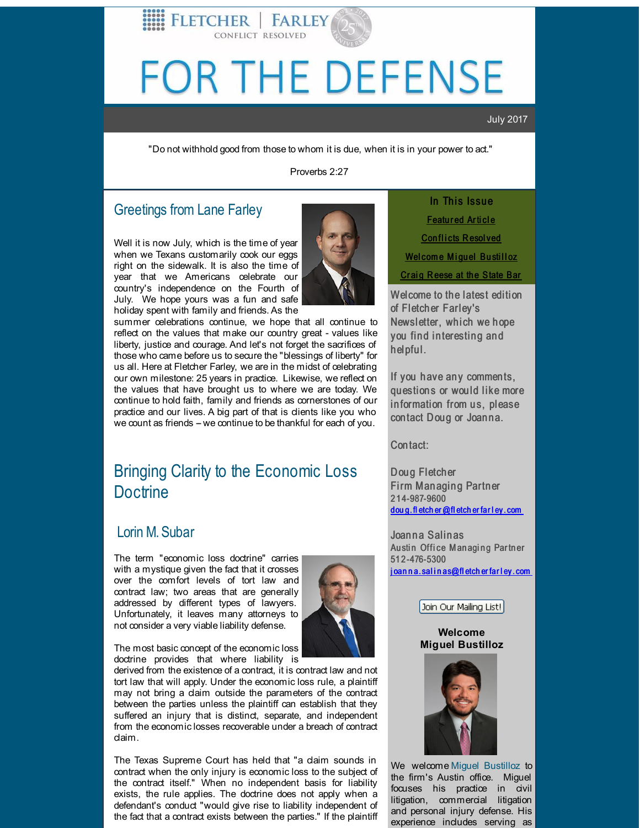# <span id="page-0-0"></span>FOR THE DEFENSE

### July 2017

"Do not withhold good from those to whom it is due, when it is in your power to act."

Proverbs 2:27

## Greetings from Lane Farley

Well it is now July, which is the time of year when we Texans customarily cook our eggs right on the sidewalk. It is also the time of year that we Americans celebrate our country's independence on the Fourth of July. We hope yours was a fun and safe holiday spent with family and friends. As the



summer celebrations continue, we hope that all continue to reflect on the values that make our country great - values like liberty, justice and courage. And let's not forget the sacrifices of those who came before us to secure the "blessings of liberty" for us all. Here at Fletcher Farley, we are in the midst of celebrating our own milestone: 25 years in practice. Likewise, we reflect on the values that have brought us to where we are today. We continue to hold faith, family and friends as cornerstones of our practice and our lives. A big part of that is clients like you who we count as friends - we continue to be thankful for each of you.

FLETCHER | FARLEY

# Bringing Clarity to the Economic Loss **Doctrine**

## Lorin M. [Subar](http://r20.rs6.net/tn.jsp?f=001hxrAoLPnYA77VtPuKeq8n4lAjd_h7TjDIabA0a6cBCK3JYpfP96T0HHWkxqW9tsMDhciS8TSX_owr1K7mmOYwsZYbk6Q3CgnhAIrM0YqjI1w55RVWaK81vbd9FqKX6D7_7B06LsF8cYPMlOtbqROjA32tNZO41ITiBaAlBLrJecgmfQjTEP6q1i_PQcN4c-Xs-4OQsO4JG8=&c=&ch=)

The term "economic loss doctrine" carries with a mystique given the fact that it crosses over the comfort levels of tort law and contract law; two areas that are generally addressed by different types of lawyers. Unfortunately, it leaves many attorneys to not consider a very viable liability defense.



The most basic concept of the economic loss doctrine provides that where liability is

derived from the existence of a contract, it is contract law and not tort law that will apply. Under the economic loss rule, a plaintiff may not bring a claim outside the parameters of the contract between the parties unless the plaintiff can establish that they suffered an injury that is distinct, separate, and independent from the economic losses recoverable under a breach of contract claim.

The Texas Supreme Court has held that "a claim sounds in contract when the only injury is economic loss to the subject of the contract itself." When no independent basis for liability exists, the rule applies. The doctrine does not apply when a defendant's conduct "would give rise to liability independent of the fact that a contract exists between the parties." If the plaintiff

In This Issue [Featu](#page-0-0)red Article [Con](#page-0-0)flicts Resolved Wel[come](#page-0-0) Miguel Bustilloz Craig Reese at the [State](#page-0-0) Bar

Welcome to the latest edition of Fletch er Farley's Newsletter, which we hope you find interesting and helpful.

If you have any comments, questions or would like more information from us, please contact Doug or Joanna.

Con tact:

Doug Fletcher Firm Managing Partner 2 1 4-987-9600 dou g. fl [etch](mailto:doug.fletcher@fletcherfarley.com) er @fl etch er far l ey . com

Joanna Salinas Austin Office Managing Partner 51 2 -476-5300 j oan n a. sal i n [as@fl](mailto:joanna.salinas@fletcherfarley.com) etch er far l ey . com

Join Our Mailing List!

**Welcome Miguel Bustilloz**



We welcome Miquel [Bustilloz](http://r20.rs6.net/tn.jsp?f=001hxrAoLPnYA77VtPuKeq8n4lAjd_h7TjDIabA0a6cBCK3JYpfP96T0F5NlmixoOhsgOo4t2sI6pejNmNHjaHuyldpzYI1fimqu7iYb8uFT3-1aGZPEAs7kbw_DxMlPRsxwlUSXiFlbcuDXkAgUIVGFhvApAGzmnCpNg0-FBF9uP0sd5DN8drzozcjPSkx7iyTep85vNWC_I6OnUoE98utN8qzKvD9wa29&c=&ch=) to the firm's Austin office. Miguel focuses his practice in civil litigation, commercial litigation and personal injury defense. His experience includes serving as